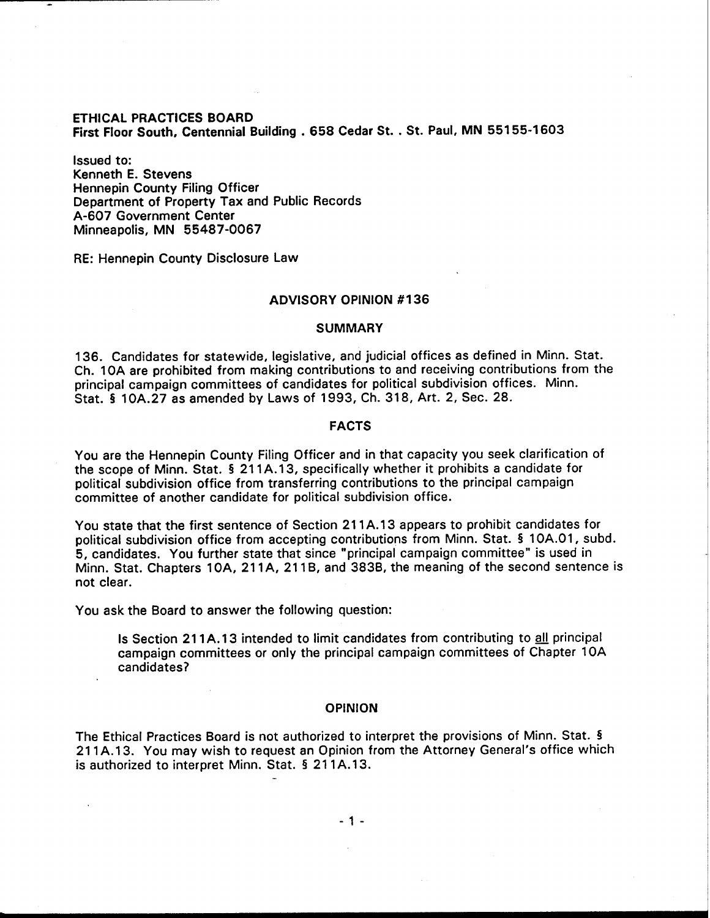# ETHICAL PRACTICES BOARD First Floor South, Centennial Building . 658 Cedar St. . St. Paul, MN 551 55-1603

Issued to: Kenneth E. Stevens Hennepin County Filing Officer Department of Property Tax and Public Records A-607 Government Center Minneapolis, MN 55487-0067

RE: Hennepin County Disclosure Law

## ADVISORY OPINION #I36

#### **SUMMARY**

136. Candidates for statewide, legislative, and judicial offices as defined in Minn. Stat. Ch. 10A are prohibited from making contributions to and receiving contributions from the principal campaign committees of candidates for political subdivision offices. Minn. Stat. 5 10A.27 as amended by Laws of 1993, Ch. 318, Art. 2, Sec. 28.

#### FACTS

You are the Hennepin County Filing Officer and in that capacity you seek clarification of the scope of Minn. Stat. 5 21 1A.13, specifically whether it prohibits a candidate for political subdivision office from transferring contributions to the principal campaign committee of another candidate for political subdivision office.

You state that the first sentence of Section 21 1A.13 appears to prohibit candidates for political subdivision office from accepting contributions from Minn. Stat. § 1 OA.O1, subd. 5, candidates. You further state that since "principal campaign committee" is used in Minn. Stat. Chapters 10A, 211A, 211B, and 383B, the meaning of the second sentence is not clear.

You ask the Board to answer the following question:

Is Section 211A.13 intended to limit candidates from contributing to all principal campaign committees or only the principal campaign committees of Chapter 10A candidates?

### OPINION

The Ethical Practices Board is not authorized to interpret the provisions of Minn. Stat. 4 21 1A.13. You may wish to request an Opinion from the Attorney General's office which is authorized to interpret Minn. Stat. § 211A.13.

- 1 -